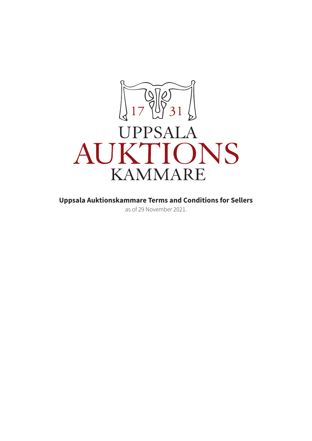

**Uppsala Auktionskammare Terms and Conditions for Sellers** 

as of 29 November 2021.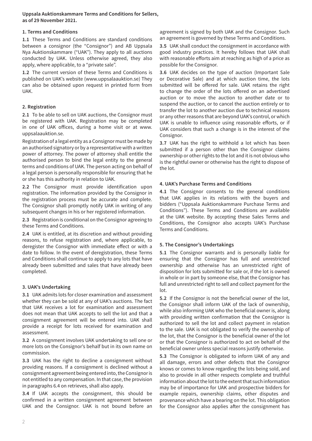**Uppsala Auktionskammare Terms and Conditions for Sellers, as of 29 November 2021.** 

#### **1. Terms and Conditions**

**1.1** These Terms and Conditions are standard conditions between a consignor (the "Consignor") and AB Uppsala Nya Auktionskammare ("UAK"). They apply to all auctions conducted by UAK. Unless otherwise agreed, they also apply, where applicable, to a "private sale".

**1.2** The current version of these Terms and Conditions is published on UAK's website (www.uppsalaauktion.se) They can also be obtained upon request in printed form from UAK.

### **2. Registration**

**2.1** To be able to sell on UAK auctions, the Consignor must be registered with UAK. Registration may be completed in one of UAK offices, during a home visit or at www. uppsalaauktion.se.

Registration of a legal entity as a Consignor must be made by an authorised signatory or by a representative with a written power of attorney. The power of attorney shall entitle the authorised person to bind the legal entity to the general terms and conditions of UAK. The person acting on behalf of a legal person is personally responsible for ensuring that he or she has this authority in relation to UAK.

**2.2** The Consignor must provide identification upon registration. The information provided by the Consignor in the registration process must be accurate and complete. The Consignor shall promptly notify UAK in writing of any subsequent changes in his or her registered information.

**2.3** Registration is conditional on the Consignor agreeing to these Terms and Conditions.

**2.4** UAK is entitled, at its discretion and without providing reasons, to refuse registration and, where applicable, to deregister the Consignor with immediate effect or with a date to follow. In the event of deregistration, these Terms and Conditions shall continue to apply to any lots that have already been submitted and sales that have already been completed.

### **3. UAK's Undertaking**

**3.1** UAK admits lots for closer examination and assessment whether they can be sold at any of UAK's auctions. The fact that UAK receives a lot for examination and assessment does not mean that UAK accepts to sell the lot and that a consignment agreement will be entered into. UAK shall provide a receipt for lots received for examination and assessment.

**3.2** A consignment involves UAK undertaking to sell one or more lots on the Consignor's behalf but in its own name on commission.

**3.3** UAK has the right to decline a consignment without providing reasons. If a consignment is declined without a consignment agreement being entered into, the Consignor is not entitled to any compensation. In that case, the provision in paragraphs 6.4 on retrieves, shall also apply.

**3.4** If UAK accepts the consignment, this should be confirmed in a written consignment agreement between UAK and the Consignor. UAK is not bound before an agreement is signed by both UAK and the Consignor. Such an agreement is governed by these Terms and Conditions.

**3.5** UAK shall conduct the consignment in accordance with good industry practices. It hereby follows that UAK shall with reasonable efforts aim at reaching as high of a price as possible for the Consignor.

**3.6** UAK decides on the type of auction (Important Sale or Decorative Sale) and at which auction time, the lots submitted will be offered for sale. UAK retains the right to change the order of the lots offered on an advertised auction or to move the auction to another date or to suspend the auction, or to cancel the auction entirely or to transfer the lot to another auction due to technical reasons or any other reasons that are beyond UAK's control, or which UAK is unable to influence using reasonable efforts, or if UAK considers that such a change is in the interest of the Consignor.

**3.7** UAK has the right to withhold a lot which has been submitted if a person other than the Consignor claims ownership or other rights to the lot and it is not obvious who is the rightful owner or otherwise has the right to dispose of the lot.

## **4. UAK's Purchase Terms and Conditions**

**4.1** The Consignor consents to the general conditions that UAK applies in its relations with the buyers and bidders ("Uppsala Auktionskammare Purchase Terms and Conditions"). These Terms and Conditions are available at the UAK website. By accepting these Sales Terms and Conditions, the Consignor also accepts UAK's Purchase Terms and Conditions.

### **5. The Consignor's Undertakings**

**5.1** The Consignor warrants and is personally liable for ensuring that the Consignor has full and unrestricted ownership and otherwise has an unrestricted right of disposition for lots submitted for sale or, if the lot is owned in whole or in part by someone else, that the Consignor has full and unrestricted right to sell and collect payment for the lot.

**5.2** If the Consignor is not the beneficial owner of the lot, the Consignor shall inform UAK of the lack of ownership, while also informing UAK who the beneficial owner is, along with providing written confirmation that the Consignor is authorized to sell the lot and collect payment in relation to the sale. UAK is not obligated to verify the ownership of the lot, that the Consignor is the beneficial owner of the lot or that the Consignor is authorized to act on behalf of the beneficial owner unless special reasons justify otherwise.

**5.3** The Consignor is obligated to inform UAK of any and all damage, errors and other defects that the Consignor knows or comes to know regarding the lots being sold, and also to provide in all other respects complete and truthful information about the lot to the extent that such information may be of importance for UAK and prospective bidders for example repairs, ownership claims, other disputes and provenance which have a bearing on the lot. This obligation for the Consignor also applies after the consignment has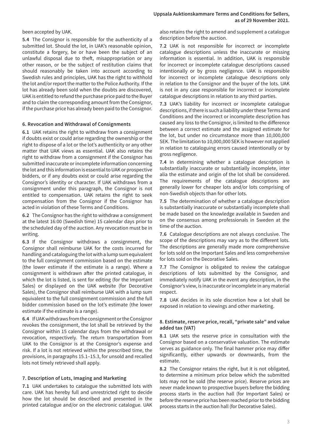been accepted by UAK.

**5.4** The Consignor is responsible for the authenticity of a submitted lot. Should the lot, in UAK's reasonable opinion, constitute a forgery, be or have been the subject of an unlawful disposal due to theft, misappropriation or any other reason, or be the subject of restitution claims that should reasonably be taken into account according to Swedish rules and principles, UAK has the right to withhold the lot and/or report the matter to the Police Authority. If the lot has already been sold when the doubts are discovered, UAK is entitled to refund the purchase price paid to the Buyer and to claim the corresponding amount from the Consignor, if the purchase price has already been paid to the Consignor.

#### **6. Revocation and Withdrawal of Consignments**

**6.1** UAK retains the right to withdraw from a consignment if doubts exist or could arise regarding the ownership or the right to dispose of a lot or the lot's authenticity or any other matter that UAK views as essential. UAK also retains the right to withdraw from a consignment if the Consignor has submitted inaccurate or incomplete information concerning the lot and this information is essential to UAK or prospective bidders, or if any doubts exist or could arise regarding the Consignor's identity or character. If UAK withdraws from a consignment under this paragraph, the Consignor is not entitled to compensation. UAK retains the right to seek compensation from the Consignor if the Consignor has acted in violation of these Terms and Conditions.

**6.2** The Consignor has the right to withdraw a consignment at the latest 16:00 (Swedish time) 15 calendar days prior to the scheduled day of the auction. Any revocation must be in writing.

**6.3** If the Consignor withdraws a consignment, the Consignor shall reimburse UAK for the costs incurred for handling and cataloguing the lot with a lump sum equivalent to the full consignment commission based on the estimate (the lower estimate if the estimate is a range). Where a consignment is withdrawn after the printed catalogue, in which the lot is listed, is sent for editing (for the Important Sales) or displayed on the UAK website (for Decorative Sales), the Consignor shall reimburse UAK with a lump sum equivalent to the full consignment commission and the full bidder commission based on the lot's estimate (the lower estimate if the estimate is a range).

**6.4** If UAK withdraws from the consignment or the Consignor revokes the consignment, the lot shall be retrieved by the Consignor within 15 calendar days from the withdrawal or revocation, respectively. The return transportation from UAK to the Consignor is at the Consignor's expense and risk. If a lot is not retrieved within the prescribed time, the provisions, in paragraphs 15.1–15.3, for unsold and recalled lots not timely retrieved shall apply.

### **7. Description of Lots, Imaging and Marketing**

**7.1** UAK undertakes to catalogue the submitted lots with care. UAK has hereby full and unrestricted right to decide how the lot should be described and presented in the printed catalogue and/or on the electronic catalogue. UAK also retains the right to amend and supplement a catalogue description before the auction.

**7.2** UAK is not responsible for incorrect or incomplete catalogue descriptions unless the inaccurate or missing information is essential. In addition, UAK is responsible for incorrect or incomplete catalogue descriptions caused intentionally or by gross negligence. UAK is responsible for incorrect or incomplete catalogue descriptions only in relation to the Consignor and the buyer of the lots. UAK is not in any case responsible for incorrect or incomplete catalogue descriptions in relation to any third parties.

**7.3** UAK's liability for incorrect or incomplete catalogue descriptions, if there is such a liability under these Terms and Conditions and the incorrect or incomplete description has caused any loss to the Consignor, is limited to the difference between a correct estimate and the assigned estimate for the lot, but under no circumstance more than 10,000,000 SEK. The limitation to 10,000,000 SEK is however not applied in relation to cataloguing errors caused intentionally or by gross negligence.

**7.4** In determining whether a catalogue description is substantially inaccurate or substantially incomplete, inter alia the estimate and origin of the lot shall be considered. The requirements of the catalogue descriptions are generally lower for cheaper lots and/or lots comprising of non-Swedish objects than for other lots.

**7.5** The determination of whether a catalogue description is substantially inaccurate or substantially incomplete shall be made based on the knowledge available in Sweden and on the consensus among professionals in Sweden at the time of the auction.

**7.6** Catalogue descriptions are not always conclusive. The scope of the descriptions may vary as to the different lots. The descriptions are generally made more comprehensive for lots sold on the Important Sales and less comprehensive for lots sold on the Decorative Sales.

**7.7** The Consignor is obligated to review the catalogue descriptions of lots submitted by the Consignor, and immediately notify UAK in the event any description, in the Consignor's view, is inaccurate or incomplete in any material respect.

**7.8** UAK decides in its sole discretion how a lot shall be exposed in relation to viewings and other marketing.

#### **8. Estimate, reserve price, recall, "private sale" and value added tax (VAT)**

**8.1** UAK sets the reserve price in consultation with the Consignor based on a conservative valuation. The estimate serves as guidance only. The final hammer price may differ significantly, either upwards or downwards, from the estimate.

**8.2** The Consignor retains the right, but it is not obligated, to determine a minimum price below which the submitted lots may not be sold (the reserve price). Reserve prices are never made known to prospective buyers before the bidding process starts in the auction hall (for Important Sales) or before the reserve price has been reached prior to the bidding process starts in the auction hall (for Decorative Sales).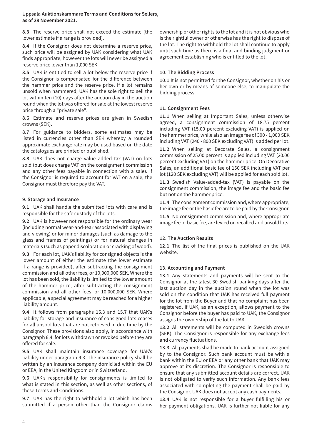**Uppsala Auktionskammare Terms and Conditions for Sellers, as of 29 November 2021.** 

**8.3** The reserve price shall not exceed the estimate (the lower estimate if a range is provided).

**8.4** If the Consignor does not determine a reserve price, such price will be assigned by UAK considering what UAK finds appropriate, however the lots will never be assigned a reserve price lower than 1,000 SEK.

**8.5** UAK is entitled to sell a lot below the reserve price if the Consignor is compensated for the difference between the hammer price and the reserve price. If a lot remains unsold when hammered, UAK has the sole right to sell the lot within ten (10) days after the auction day in the auction round when the lot was offered for sale at the lowest reserve price through a "private sale".

**8.6** Estimate and reserve prices are given in Swedish crowns (SEK).

**8.7** For guidance to bidders, some estimates may be listed in currencies other than SEK whereby a rounded approximate exchange rate may be used based on the date the catalogues are printed or published.

**8.8** UAK does not charge value added tax (VAT) on lots sold (but does charge VAT on the consignment commission and any other fees payable in connection with a sale). If the Consignor is required to account for VAT on a sale, the Consignor must therefore pay the VAT.

### **9. Storage and Insurance**

**9.1** UAK shall handle the submitted lots with care and is responsible for the safe custody of the lots.

**9.2** UAK is however not responsible for the ordinary wear (including normal wear-and-tear associated with displaying and viewing) or for minor damages (such as damage to the glass and frames of paintings) or for natural changes in materials (such as paper discoloration or cracking of wood).

**9.3** For each lot, UAK's liability for consigned objects is the lower amount of either the estimate (the lower estimate if a range is provided), after subtracting the consignment commission and all other fees, or 10,000,000 SEK. Where the lot has been sold, the liability is limited to the lower amount of the hammer price, after subtracting the consignment commission and all other fees, or 10,000,000 SEK. Where applicable, a special agreement may be reached for a higher liability amount.

**9.4** It follows from paragraphs 15.3 and 15.7 that UAK's liability for storage and insurance of consigned lots ceases for all unsold lots that are not retrieved in due time by the Consignor. These provisions also apply, in accordance with paragraph 6.4, for lots withdrawn or revoked before they are offered for sale.

**9.5** UAK shall maintain insurance coverage for UAK's liability under paragraph 9.3. The insurance policy shall be written by an insurance company domiciled within the EU or EEA, in the United Kingdom or in Switzerland.

**9.6** UAK's responsibility for consignments is limited to what is stated in this section, as well as other sections, of these Terms and Conditions.

**9.7** UAK has the right to withhold a lot which has been submitted if a person other than the Consignor claims

ownership or other rights to the lot and it is not obvious who is the rightful owner or otherwise has the right to dispose of the lot. The right to withhold the lot shall continue to apply until such time as there is a final and binding judgment or agreement establishing who is entitled to the lot.

#### **10. The Bidding Process**

**10.1** It is not permitted for the Consignor, whether on his or her own or by means of someone else, to manipulate the bidding process.

### **11. Consignment Fees**

**11.1** When selling at Important Sales, unless otherwise agreed, a consignment commission of 18.75 percent including VAT (15.00 percent excluding VAT) is applied on the hammer price, while also an image fee of 300 - 1,000 SEK including VAT (240 - 800 SEK excluding VAT) is added per lot.

**11.2** When selling at Decorate Sales, a consignment commission of 25.00 percent is applied including VAT (20.00 percent excluding VAT) on the hammer price. On Decorative Sales, an additional basic fee of 150 SEK including VAT per lot (120 SEK excluding VAT) will be applied for each sold lot.

**11.3** Swedish Value-added-tax (VAT) is payable on the consignment commission, the image fee and the basic fee but not on the hammer price.

**11.4** The consignment commission and, where appropriate, the image fee or the basic fee are to be paid by the Consignor.

**11.5** No consignment commission and, where appropriate image fee or basic fee, are levied on recalled and unsold lots.

### **12. The Auction Results**

**12.1** The list of the final prices is published on the UAK website.

#### **13. Accounting and Payment**

**13.1** Any statements and payments will be sent to the Consignor at the latest 30 Swedish banking days after the last auction day in the auction round when the lot was sold on the condition that UAK has received full payment for the lot from the Buyer and that no complaint has been registered. If UAK, as an exception, allows payment to the Consignor before the buyer has paid to UAK, the Consignor assigns the ownership of the lot to UAK.

**13.2** All statements will be computed in Swedish crowns (SEK). The Consignor is responsible for any exchange fees and currency fluctuations.

**13.3** All payments shall be made to bank account assigned by to the Consignor. Such bank account must be with a bank within the EU or EEA or any other bank that UAK may approve at its discretion. The Consignor is responsible to ensure that any submitted account details are correct. UAK is not obligated to verify such information. Any bank fees associated with completing the payment shall be paid by the Consignor. UAK does not accept any cash payments.

**13.4** UAK is not responsible for a buyer fulfilling his or her payment obligations. UAK is further not liable for any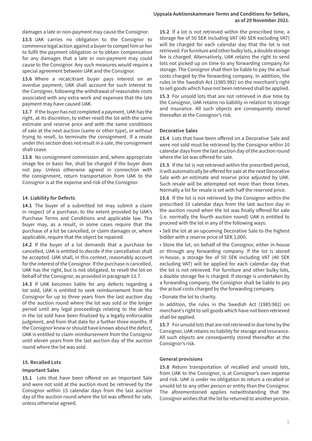damages a late or non-payment may cause the Consignor.

**13.5** UAK carries no obligation to the Consignor to commence legal action against a buyer to compel him or her to fulfil the payment obligation or to obtain compensation for any damages that a late or non-payment may could cause to the Consignor. Any such measures would require a special agreement between UAK and the Consignor.

**13.6** Where a recalcitrant buyer pays interest on an overdue payment, UAK shall account for such interest to the Consigner, following the withdrawal of reasonable costs associated with any extra work and expenses that the late payment may have caused UAK.

**13.7** If the buyer has not completed a payment, UAK has the right, at its discretion, to either resell the lot with the same estimate and reserve price and with the same conditions of sale at the next auction (same or other type), or without trying to resell, to terminate the consignment. If a resale under this section does not result in a sale, the consignment shall cease.

**13.8** No consignment commission and, where appropriate image fee or basic fee, shall be charged if the buyer does not pay. Unless otherwise agreed in connection with the consignment, return transportation from UAK to the Consignor is at the expense and risk of the Consignor.

### **14. Liability for Defects**

**14.1** The buyer of a submitted lot may submit a claim in respect of a purchase, to the extent provided by UAK's Purchase Terms and Conditions and applicable law. The buyer may, as a result, in some cases require that the purchase of a lot be cancelled, or claim damages or, where applicable, require that the object be repaired.

**14.2** If the buyer of a lot demands that a purchase be cancelled, UAK is entitled to decide if the cancellation shall be accepted. UAK shall, in this context, reasonably account for the interest of the Consignor. If the purchase is cancelled, UAK has the right, but is not obligated, to resell the lot on behalf of the Consignor, as provided in paragraph 13.7.

**14.3** If UAK becomes liable for any defects regarding a lot sold, UAK is entitled to seek reimbursement from the Consignor for up to three years from the last auction day of the auction round where the lot was sold or the longer period until any legal proceedings relating to the defect in the lot sold have been finalized by a legally enforceable judgment, and from that date for a further three months. If the Consignor knew or should have known about the defect, UAK is entitled to claim reimbursement from the Consignor until eleven years from the last auction day of the auction round where the lot was sold.

### **15. Recalled Lots**

### **Important Sales**

**15.1** Lots that have been offered on an Important Sale and were not sold at the auction must be retrieved by the Consignor within 15 calendar days from the last auction day of the auction round where the lot was offered for sale, unless otherwise agreed.

**15.2** If a lot is not retrieved within the prescribed time, a storage fee of 50 SEK including VAT (40 SEK excluding VAT) will be charged for each calendar day that the lot is not retrieved. For furniture and other bulky lots, a double storage fee is charged. Alternatively, UAK retains the right to send lots not picked up on time to any forwarding company for storage. The Consignor shall then be liable to pay the actual costs charged by the forwarding company. In addition, the rules in the Swedish Act (1985:982) on the merchant's right to sell goods which have not been retrieved shall be applied.

**15.3** For unsold lots that are not retrieved in due time by the Consignor, UAK retains no liability in relation to storage and insurance. All such objects are consequently stored thereafter at the Consignor's risk.

### **Decorative Sales**

**15.4** Lots that have been offered on a Decorative Sale and were not sold must be retrieved by the Consignor within 10 calendar days from the last auction day of the auction round where the lot was offered for sale.

**15.5** If the lot is not retrieved within the prescribed period, it will automatically be offered for sale at the next Decorative Sale with an estimate and reserve price adjusted by UAK. Such resale will be attempted not more than three times. Normally a lot for resale is set with half the reserved price.

**15.6** If the lot is not retrieved by the Consignor within the prescribed 10 calendar days from the last auction day in the auction round when the lot was finally offered for sale (i.e. normally the fourth auction round) UAK is entitled to proceed with the lot in any of the following ways:

• Sell the lot at an upcoming Decorative Sale to the highest bidder with a reserve price of SEK 1,000.

• Store the lot, on behalf of the Consignor, either in-house or through any forwarding company. If the lot is stored in-house, a storage fee of 50 SEK including VAT (40 SEK excluding VAT) will be applied for each calendar day that the lot is not retrieved. For furniture and other bulky lots, a double storage fee is charged. If storage is undertaken by a forwarding company, the Consignor shall be liable to pay the actual costs charged by the forwarding company.

• Donate the lot to charity.

In addition, the rules in the Swedish Act (1985:982) on merchant's right to sell goods which have not been retrieved shall be applied.

**15.7** For unsold lots that are not retrieved in due time by the Consignor, UAK retains no liability for storage and insurance. All such objects are consequently stored thereafter at the Consignor's risk.

### **General provisions**

**15.8** Return transportation of recalled and unsold lots, from UAK to the Consignor, is at Consignor's own expense and risk. UAK is under no obligation to return a recalled or unsold lot to any other person or entity than the Consignor. The aforementioned applies notwithstanding that the Consignor wishes that the lot be returned to another person.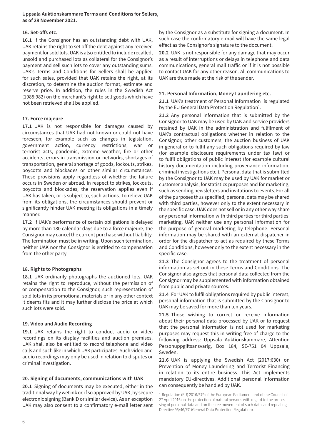**Uppsala Auktionskammare Terms and Conditions for Sellers, as of 29 November 2021.** 

### **16. Set-offs etc.**

**16.1** If the Consignor has an outstanding debt with UAK, UAK retains the right to set off the debt against any received payment for sold lots. UAK is also entitled to include recalled, unsold and purchased lots as collateral for the Consignor's payment and sell such lots to cover any outstanding sums. UAK's Terms and Conditions for Sellers shall be applied for such sales, provided that UAK retains the right, at its discretion, to determine the auction format, estimate and reserve price. In addition, the rules in the Swedish Act (1985:982) on the merchant's right to sell goods which have not been retrieved shall be applied.

### **17. Force majeure**

**17.1** UAK is not responsible for damages caused by circumstances that UAK had not known or could not have foreseen, for example such as changes in legislation, government action, currency restrictions, war or terrorist acts, pandemic, extreme weather, fire or other accidents, errors in transmission or networks, shortages of transportation, general shortage of goods, lockouts, strikes, boycotts and blockades or other similar circumstances. These provisions apply regardless of whether the failure occurs in Sweden or abroad. In respect to strikes, lockouts, boycotts and blockades, the reservation applies even if UAK has taken, or is subject to, such actions. To relieve UAK from its obligations, the circumstances should prevent or significantly hinder UAK meeting its obligations in a timely manner.

**17.2** If UAK's performance of certain obligations is delayed by more than 180 calendar days due to a force majeure, the Consignor may cancel the current purchase without liability. The termination must be in writing. Upon such termination, neither UAK nor the Consignor is entitled to compensation from the other party.

# **18. Rights to Photographs**

**18.1** UAK ordinarily photographs the auctioned lots. UAK retains the right to reproduce, without the permission of or compensation to the Consignor, such representation of sold lots in its promotional materials or in any other context it deems fits and it may further disclose the price at which such lots were sold.

# **19. Video and Audio Recording**

**19.1** UAK retains the right to conduct audio or video recordings on its display facilities and auction premises. UAK shall also be entitled to record telephone and video calls and such like in which UAK participates. Such video and audio recordings may only be used in relation to disputes or criminal investigation.

# **20. Signing of documents, communications with UAK**

**20.1** Signing of documents may be executed, either in the traditional way by wet ink or, if so approved by UAK, by secure electronic signing (BankID or similar device). As an exception UAK may also consent to a confirmatory e-mail letter sent by the Consignor as a substitute for signing a document. In such case the confirmatory e-mail will have the same legal effect as the Consignor's signature to the document.

**20.2** UAK is not responsible for any damage that may occur as a result of interruptions or delays in telephone and data communications, general mail traffic or if it is not possible to contact UAK for any other reason. All communications to UAK are thus made at the risk of the sender.

### **21. Personal Information, Money Laundering etc.**

**21.1** UAK's treatment of Personal Information is regulated by the EU General Data Protection Regulation<sup>1</sup>.

**21.2** Any personal information that is submitted by the Consignor to UAK may be used by UAK and service providers retained by UAK in the administration and fulfilment of UAK's contractual obligations whether in relation to the Consignor, other customers, the auction business of UAK in general or to fulfil any such obligations required by law (for example disclosure requirements under tax law) or to fulfil obligations of public interest (for example cultural history documentation including provenance information, criminal investigations etc.). Personal data that is submitted by the Consignor to UAK may be used by UAK for market or customer analysis, for statistics purposes and for marketing, such as sending newsletters and invitations to events. For all of the purposes thus specified, personal data may be shared with third parties, however only to the extent necessary in the specific case. UAK does not sell or in any other way share any personal information with third parties for third parties' marketing. UAK neither use any personal information for the purpose of general marketing by telephone. Personal information may be shared with an external dispatcher in order for the dispatcher to act as required by these Terms and Conditions, however only to the extent necessary in the specific case.

**21.3** The Consignor agrees to the treatment of personal information as set out in these Terms and Conditions. The Consignor also agrees that personal data collected from the Consignor may be supplemented with information obtained from public and private sources.

**21.4** For UAK to fulfil obligations required by public interest, personal information that is submitted by the Consignor to UAK may be saved for more than ten years.

**21.5** Those wishing to correct or receive information about their personal data processed by UAK or to request that the personal information is not used for marketing purposes may request this in writing free of charge to the following address: Uppsala Auktionskammare, Attention Personuppgiftsansvarig, Box 184, SE-751 04 Uppsala, Sweden.

**21.6** UAK is applying the Swedish Act (2017:630) on Prevention of Money Laundering and Terrorist Financing in relation to its entire business. This Act implements mandatory EU-directives. Additional personal information can consequently be handled by UAK.

<sup>1</sup> Regulation (EU) 2016/679 of the European Parliament and of the Council of 27 April 2016 on the protection of natural persons with regard to the processing of personal data and on the free movement of such data, and repealing Directive 95/46/EC (General Data Protection Regulation).